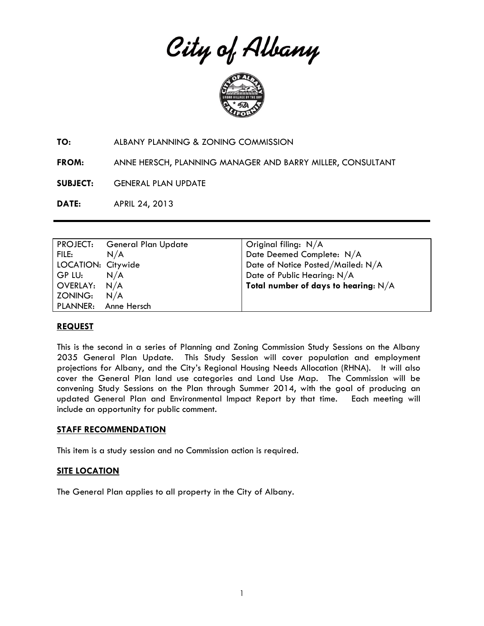City of Albany



**TO:** ALBANY PLANNING & ZONING COMMISSION

**FROM:** ANNE HERSCH, PLANNING MANAGER AND BARRY MILLER, CONSULTANT

**SUBJECT:** GENERAL PLAN UPDATE

**DATE:** APRIL 24, 2013

|                    | PROJECT: General Plan Update | Original filing: $N/A$                 |
|--------------------|------------------------------|----------------------------------------|
| FILE:              | N/A                          | Date Deemed Complete: N/A              |
| LOCATION: Citywide |                              | Date of Notice Posted/Mailed: N/A      |
| GP LU:             | N/A                          | Date of Public Hearing: N/A            |
| OVERLAY: N/A       |                              | Total number of days to hearing: $N/A$ |
| ZONING:            | N/A                          |                                        |
|                    | PLANNER: Anne Hersch         |                                        |

## **REQUEST**

This is the second in a series of Planning and Zoning Commission Study Sessions on the Albany 2035 General Plan Update. This Study Session will cover population and employment projections for Albany, and the City's Regional Housing Needs Allocation (RHNA). It will also cover the General Plan land use categories and Land Use Map. The Commission will be convening Study Sessions on the Plan through Summer 2014, with the goal of producing an updated General Plan and Environmental Impact Report by that time. Each meeting will include an opportunity for public comment.

## **STAFF RECOMMENDATION**

This item is a study session and no Commission action is required.

# **SITE LOCATION**

The General Plan applies to all property in the City of Albany.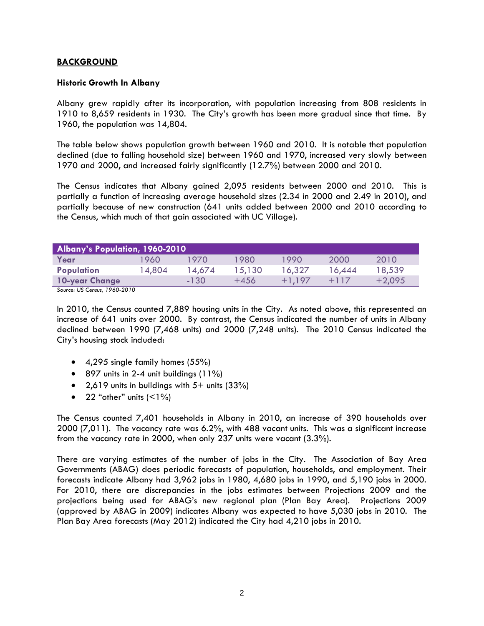# **BACKGROUND**

## **Historic Growth In Albany**

Albany grew rapidly after its incorporation, with population increasing from 808 residents in 1910 to 8,659 residents in 1930. The City's growth has been more gradual since that time. By 1960, the population was 14,804.

The table below shows population growth between 1960 and 2010. It is notable that population declined (due to falling household size) between 1960 and 1970, increased very slowly between 1970 and 2000, and increased fairly significantly (12.7%) between 2000 and 2010.

The Census indicates that Albany gained 2,095 residents between 2000 and 2010. This is partially a function of increasing average household sizes (2.34 in 2000 and 2.49 in 2010), and partially because of new construction (641 units added between 2000 and 2010 according to the Census, which much of that gain associated with UC Village).

| Albany's Population, 1960-2010 |        |        |        |          |        |          |
|--------------------------------|--------|--------|--------|----------|--------|----------|
| Year                           | 1960   | 1970   | 1980   | 1990.    | 2000   | 2010     |
| <b>Population</b>              | 14,804 | 14,674 | 15,130 | 16,327   | 16.444 | 18,539   |
| 10-year Change                 |        | $-130$ | $+456$ | $+1.197$ | $+117$ | $+2,095$ |

*Source: US Census, 1960-2010*

In 2010, the Census counted 7,889 housing units in the City. As noted above, this represented an increase of 641 units over 2000. By contrast, the Census indicated the number of units in Albany declined between 1990 (7,468 units) and 2000 (7,248 units). The 2010 Census indicated the City's housing stock included:

- 4,295 single family homes (55%)
- $\bullet$  897 units in 2-4 unit buildings (11%)
- $2,619$  units in buildings with  $5+$  units (33%)
- 22 "other" units  $($  < 1\%)

The Census counted 7,401 households in Albany in 2010, an increase of 390 households over 2000 (7,011). The vacancy rate was 6.2%, with 488 vacant units. This was a significant increase from the vacancy rate in 2000, when only 237 units were vacant (3.3%).

There are varying estimates of the number of jobs in the City. The Association of Bay Area Governments (ABAG) does periodic forecasts of population, households, and employment. Their forecasts indicate Albany had 3,962 jobs in 1980, 4,680 jobs in 1990, and 5,190 jobs in 2000. For 2010, there are discrepancies in the jobs estimates between Projections 2009 and the projections being used for ABAG's new regional plan (Plan Bay Area). Projections 2009 (approved by ABAG in 2009) indicates Albany was expected to have 5,030 jobs in 2010. The Plan Bay Area forecasts (May 2012) indicated the City had 4,210 jobs in 2010.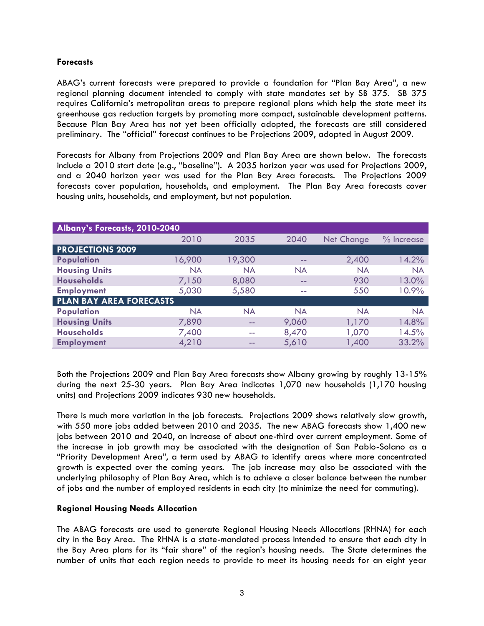## **Forecasts**

ABAG's current forecasts were prepared to provide a foundation for "Plan Bay Area", a new regional planning document intended to comply with state mandates set by SB 375. SB 375 requires California's metropolitan areas to prepare regional plans which help the state meet its greenhouse gas reduction targets by promoting more compact, sustainable development patterns. Because Plan Bay Area has not yet been officially adopted, the forecasts are still considered preliminary. The "official" forecast continues to be Projections 2009, adopted in August 2009.

Forecasts for Albany from Projections 2009 and Plan Bay Area are shown below. The forecasts include a 2010 start date (e.g., "baseline"). A 2035 horizon year was used for Projections 2009, and a 2040 horizon year was used for the Plan Bay Area forecasts. The Projections 2009 forecasts cover population, households, and employment. The Plan Bay Area forecasts cover housing units, households, and employment, but not population.

| Albany's Forecasts, 2010-2040  |           |           |           |                   |            |  |
|--------------------------------|-----------|-----------|-----------|-------------------|------------|--|
|                                | 2010      | 2035      | 2040      | <b>Net Change</b> | % Increase |  |
| <b>PROJECTIONS 2009</b>        |           |           |           |                   |            |  |
| <b>Population</b>              | 16,900    | 19,300    | --        | 2,400             | 14.2%      |  |
| <b>Housing Units</b>           | <b>NA</b> | <b>NA</b> | <b>NA</b> | <b>NA</b>         | <b>NA</b>  |  |
| <b>Households</b>              | 7,150     | 8,080     | --        | 930               | 13.0%      |  |
| <b>Employment</b>              | 5,030     | 5,580     | --        | 550               | 10.9%      |  |
| <b>PLAN BAY AREA FORECASTS</b> |           |           |           |                   |            |  |
| <b>Population</b>              | <b>NA</b> | <b>NA</b> | <b>NA</b> | <b>NA</b>         | <b>NA</b>  |  |
| <b>Housing Units</b>           | 7,890     | $- -$     | 9,060     | 1,170             | 14.8%      |  |
| <b>Households</b>              | 7,400     | a an      | 8,470     | 1,070             | 14.5%      |  |
| <b>Employment</b>              | 4,210     | --        | 5,610     | 1,400             | 33.2%      |  |

Both the Projections 2009 and Plan Bay Area forecasts show Albany growing by roughly 13-15% during the next 25-30 years. Plan Bay Area indicates 1,070 new households (1,170 housing units) and Projections 2009 indicates 930 new households.

There is much more variation in the job forecasts. Projections 2009 shows relatively slow growth, with 550 more jobs added between 2010 and 2035. The new ABAG forecasts show 1,400 new jobs between 2010 and 2040, an increase of about one-third over current employment. Some of the increase in job growth may be associated with the designation of San Pablo-Solano as a "Priority Development Area", a term used by ABAG to identify areas where more concentrated growth is expected over the coming years. The job increase may also be associated with the underlying philosophy of Plan Bay Area, which is to achieve a closer balance between the number of jobs and the number of employed residents in each city (to minimize the need for commuting).

## **Regional Housing Needs Allocation**

The ABAG forecasts are used to generate Regional Housing Needs Allocations (RHNA) for each city in the Bay Area. The RHNA is a state-mandated process intended to ensure that each city in the Bay Area plans for its "fair share" of the region's housing needs. The State determines the number of units that each region needs to provide to meet its housing needs for an eight year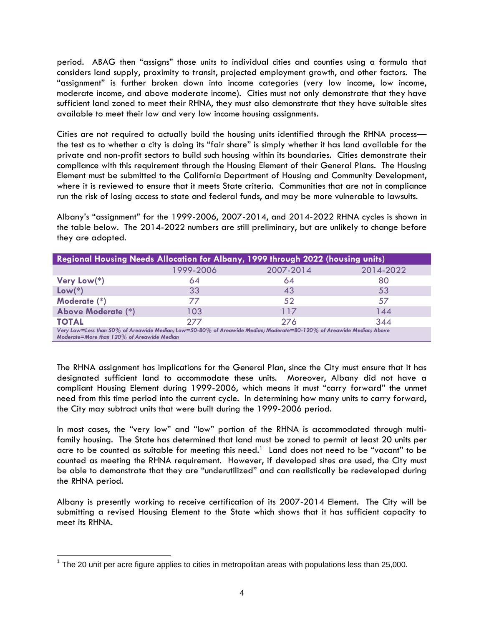period. ABAG then "assigns" those units to individual cities and counties using a formula that considers land supply, proximity to transit, projected employment growth, and other factors. The "assignment" is further broken down into income categories (very low income, low income, moderate income, and above moderate income). Cities must not only demonstrate that they have sufficient land zoned to meet their RHNA, they must also demonstrate that they have suitable sites available to meet their low and very low income housing assignments.

Cities are not required to actually build the housing units identified through the RHNA process the test as to whether a city is doing its "fair share" is simply whether it has land available for the private and non-profit sectors to build such housing within its boundaries. Cities demonstrate their compliance with this requirement through the Housing Element of their General Plans. The Housing Element must be submitted to the California Department of Housing and Community Development, where it is reviewed to ensure that it meets State criteria. Communities that are not in compliance run the risk of losing access to state and federal funds, and may be more vulnerable to lawsuits.

Albany's "assignment" for the 1999-2006, 2007-2014, and 2014-2022 RHNA cycles is shown in the table below. The 2014-2022 numbers are still preliminary, but are unlikely to change before they are adopted.

| <b>Regional Housing Needs Allocation for Albany, 1999 through 2022 (housing units)</b>                                                                             |           |           |           |  |  |
|--------------------------------------------------------------------------------------------------------------------------------------------------------------------|-----------|-----------|-----------|--|--|
|                                                                                                                                                                    | 1999-2006 | 2007-2014 | 2014-2022 |  |  |
| Very Low(*)                                                                                                                                                        | 64        | 64        | 80        |  |  |
| $Low(*)$                                                                                                                                                           | 33        | 43        | 53        |  |  |
| Moderate (*)                                                                                                                                                       | 77        | 52        | 57        |  |  |
| <b>Above Moderate (*)</b>                                                                                                                                          | 103       | 117       | 144       |  |  |
| <b>TOTAL</b>                                                                                                                                                       | 277       | 276       | 344       |  |  |
| Very Low=Less than 50% of Areawide Median; Low=50-80% of Areawide Median; Moderate=80-120% of Areawide Median; Above<br>Moderate=More than 120% of Areawide Median |           |           |           |  |  |

The RHNA assignment has implications for the General Plan, since the City must ensure that it has designated sufficient land to accommodate these units. Moreover, Albany did not have a compliant Housing Element during 1999-2006, which means it must "carry forward" the unmet need from this time period into the current cycle. In determining how many units to carry forward, the City may subtract units that were built during the 1999-2006 period.

In most cases, the "very low" and "low" portion of the RHNA is accommodated through multifamily housing. The State has determined that land must be zoned to permit at least 20 units per acre to be counted as suitable for meeting this need.<sup>1</sup> Land does not need to be "vacant" to be counted as meeting the RHNA requirement. However, if developed sites are used, the City must be able to demonstrate that they are "underutilized" and can realistically be redeveloped during the RHNA period.

Albany is presently working to receive certification of its 2007-2014 Element. The City will be submitting a revised Housing Element to the State which shows that it has sufficient capacity to meet its RHNA.

 $\overline{a}$ 

 $1$  The 20 unit per acre figure applies to cities in metropolitan areas with populations less than 25,000.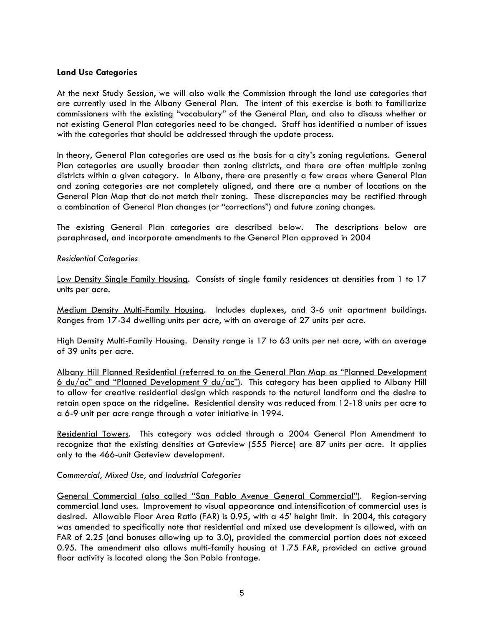## **Land Use Categories**

At the next Study Session, we will also walk the Commission through the land use categories that are currently used in the Albany General Plan. The intent of this exercise is both to familiarize commissioners with the existing "vocabulary" of the General Plan, and also to discuss whether or not existing General Plan categories need to be changed. Staff has identified a number of issues with the categories that should be addressed through the update process.

In theory, General Plan categories are used as the basis for a city's zoning regulations. General Plan categories are usually broader than zoning districts, and there are often multiple zoning districts within a given category. In Albany, there are presently a few areas where General Plan and zoning categories are not completely aligned, and there are a number of locations on the General Plan Map that do not match their zoning. These discrepancies may be rectified through a combination of General Plan changes (or "corrections") and future zoning changes.

The existing General Plan categories are described below. The descriptions below are paraphrased, and incorporate amendments to the General Plan approved in 2004

#### *Residential Categories*

Low Density Single Family Housing. Consists of single family residences at densities from 1 to 17 units per acre.

Medium Density Multi-Family Housing. Includes duplexes, and 3-6 unit apartment buildings. Ranges from 17-34 dwelling units per acre, with an average of 27 units per acre.

High Density Multi-Family Housing. Density range is 17 to 63 units per net acre, with an average of 39 units per acre.

Albany Hill Planned Residential (referred to on the General Plan Map as "Planned Development 6 du/ac" and "Planned Development 9 du/ac"). This category has been applied to Albany Hill to allow for creative residential design which responds to the natural landform and the desire to retain open space on the ridgeline. Residential density was reduced from 12-18 units per acre to a 6-9 unit per acre range through a voter initiative in 1994.

Residential Towers. This category was added through a 2004 General Plan Amendment to recognize that the existing densities at Gateview (555 Pierce) are 87 units per acre. It applies only to the 466-unit Gateview development.

#### *Commercial, Mixed Use, and Industrial Categories*

General Commercial (also called "San Pablo Avenue General Commercial"). Region-serving commercial land uses. Improvement to visual appearance and intensification of commercial uses is desired. Allowable Floor Area Ratio (FAR) is 0.95, with a 45' height limit. In 2004, this category was amended to specifically note that residential and mixed use development is allowed, with an FAR of 2.25 (and bonuses allowing up to 3.0), provided the commercial portion does not exceed 0.95. The amendment also allows multi-family housing at 1.75 FAR, provided an active ground floor activity is located along the San Pablo frontage.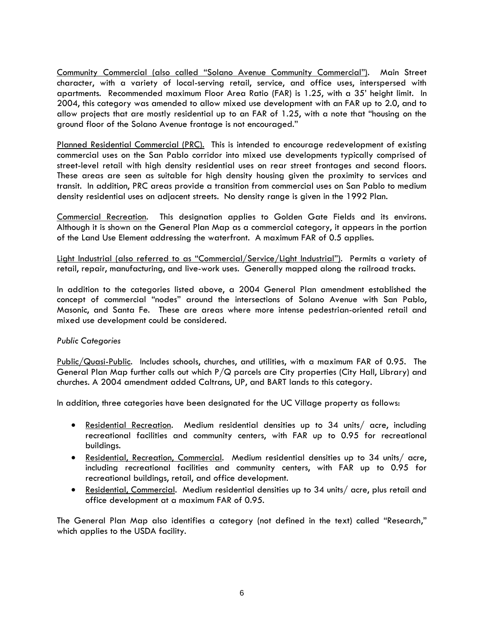Community Commercial (also called "Solano Avenue Community Commercial"). Main Street character, with a variety of local-serving retail, service, and office uses, interspersed with apartments. Recommended maximum Floor Area Ratio (FAR) is 1.25, with a 35' height limit. In 2004, this category was amended to allow mixed use development with an FAR up to 2.0, and to allow projects that are mostly residential up to an FAR of 1.25, with a note that "housing on the ground floor of the Solano Avenue frontage is not encouraged."

Planned Residential Commercial (PRC). This is intended to encourage redevelopment of existing commercial uses on the San Pablo corridor into mixed use developments typically comprised of street-level retail with high density residential uses on rear street frontages and second floors. These areas are seen as suitable for high density housing given the proximity to services and transit. In addition, PRC areas provide a transition from commercial uses on San Pablo to medium density residential uses on adjacent streets. No density range is given in the 1992 Plan.

Commercial Recreation. This designation applies to Golden Gate Fields and its environs. Although it is shown on the General Plan Map as a commercial category, it appears in the portion of the Land Use Element addressing the waterfront. A maximum FAR of 0.5 applies.

Light Industrial (also referred to as "Commercial/Service/Light Industrial"). Permits a variety of retail, repair, manufacturing, and live-work uses. Generally mapped along the railroad tracks.

In addition to the categories listed above, a 2004 General Plan amendment established the concept of commercial "nodes" around the intersections of Solano Avenue with San Pablo, Masonic, and Santa Fe. These are areas where more intense pedestrian-oriented retail and mixed use development could be considered.

## *Public Categories*

Public/Quasi-Public. Includes schools, churches, and utilities, with a maximum FAR of 0.95. The General Plan Map further calls out which  $P/Q$  parcels are City properties (City Hall, Library) and churches. A 2004 amendment added Caltrans, UP, and BART lands to this category.

In addition, three categories have been designated for the UC Village property as follows:

- Residential Recreation. Medium residential densities up to 34 units/ acre, including recreational facilities and community centers, with FAR up to 0.95 for recreational buildings.
- Residential, Recreation, Commercial. Medium residential densities up to 34 units/ acre, including recreational facilities and community centers, with FAR up to 0.95 for recreational buildings, retail, and office development.
- Residential, Commercial. Medium residential densities up to 34 units/ acre, plus retail and office development at a maximum FAR of 0.95.

The General Plan Map also identifies a category (not defined in the text) called "Research," which applies to the USDA facility.